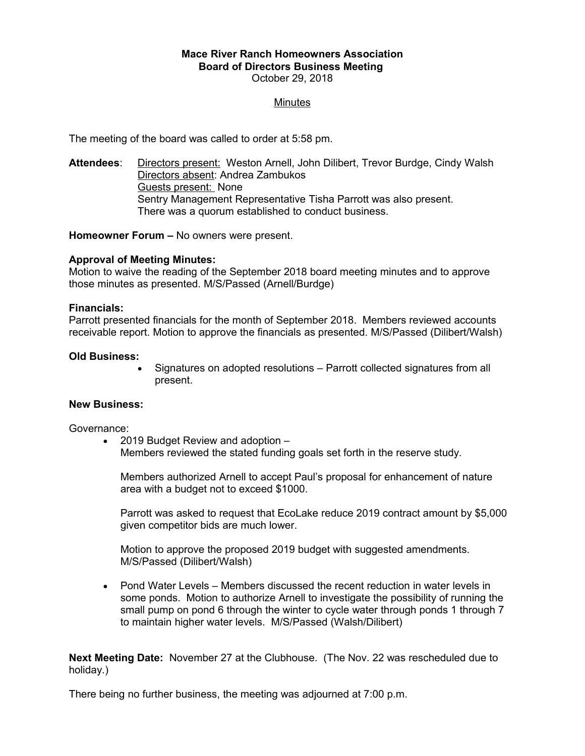# **Mace River Ranch Homeowners Association Board of Directors Business Meeting**  October 29, 2018

# **Minutes**

The meeting of the board was called to order at 5:58 pm.

**Attendees**: Directors present: Weston Arnell, John Dilibert, Trevor Burdge, Cindy Walsh Directors absent: Andrea Zambukos Guests present: None Sentry Management Representative Tisha Parrott was also present. There was a quorum established to conduct business.

**Homeowner Forum –** No owners were present.

### **Approval of Meeting Minutes:**

Motion to waive the reading of the September 2018 board meeting minutes and to approve those minutes as presented. M/S/Passed (Arnell/Burdge)

### **Financials:**

Parrott presented financials for the month of September 2018. Members reviewed accounts receivable report. Motion to approve the financials as presented. M/S/Passed (Dilibert/Walsh)

### **Old Business:**

 Signatures on adopted resolutions – Parrott collected signatures from all present.

### **New Business:**

Governance:

• 2019 Budget Review and adoption – Members reviewed the stated funding goals set forth in the reserve study.

Members authorized Arnell to accept Paul's proposal for enhancement of nature area with a budget not to exceed \$1000.

Parrott was asked to request that EcoLake reduce 2019 contract amount by \$5,000 given competitor bids are much lower.

Motion to approve the proposed 2019 budget with suggested amendments. M/S/Passed (Dilibert/Walsh)

 Pond Water Levels – Members discussed the recent reduction in water levels in some ponds. Motion to authorize Arnell to investigate the possibility of running the small pump on pond 6 through the winter to cycle water through ponds 1 through 7 to maintain higher water levels. M/S/Passed (Walsh/Dilibert)

**Next Meeting Date:** November 27 at the Clubhouse. (The Nov. 22 was rescheduled due to holiday.)

There being no further business, the meeting was adjourned at 7:00 p.m.